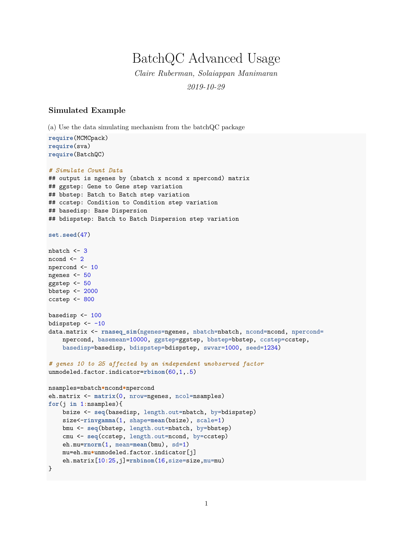## BatchQC Advanced Usage

*Claire Ruberman, Solaiappan Manimaran 2019-10-29*

## **Simulated Example**

(a) Use the data simulating mechanism from the batchQC package

**require**(MCMCpack) **require**(sva) **require**(BatchQC)

```
# Simulate Count Data
## output is ngenes by (nbatch x ncond x npercond) matrix
## ggstep: Gene to Gene step variation
## bbstep: Batch to Batch step variation
## ccstep: Condition to Condition step variation
## basedisp: Base Dispersion
## bdispstep: Batch to Batch Dispersion step variation
set.seed(47)
nbatch < -3ncond \leq 2
npercond <- 10
ngenes <- 50
ggstep <- 50
bbstep <- 2000
ccstep <- 800
basedisp <- 100
bdispstep <-10data.matrix <- rnaseq_sim(ngenes=ngenes, nbatch=nbatch, ncond=ncond, npercond=
    npercond, basemean=10000, ggstep=ggstep, bbstep=bbstep, ccstep=ccstep,
    basedisp=basedisp, bdispstep=bdispstep, swvar=1000, seed=1234)
# genes 10 to 25 affected by an independent unobserved factor
unmodeled.factor.indicator=rbinom(60,1,.5)
nsamples=nbatch*ncond*npercond
eh.matrix <- matrix(0, nrow=ngenes, ncol=nsamples)
for(j in 1:nsamples){
    bsize <- seq(basedisp, length.out=nbatch, by=bdispstep)
    size<-rinvgamma(1, shape=mean(bsize), scale=1)
    bmu <- seq(bbstep, length.out=nbatch, by=bbstep)
    cmu <- seq(ccstep, length.out=ncond, by=ccstep)
    eh.mu=rnorm(1, mean=mean(bmu), sd=1)
    mu=eh.mu*unmodeled.factor.indicator[j]
    eh.matrix[10:25,j]=rnbinom(16,size=size,mu=mu)
}
```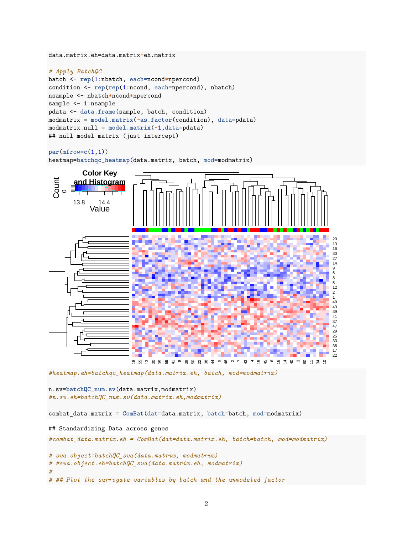```
data.matrix.eh=data.matrix+eh.matrix
```

```
# Apply BatchQC
batch <- rep(1:nbatch, each=ncond*npercond)
condition <- rep(rep(1:ncond, each=npercond), nbatch)
nsample <- nbatch*ncond*npercond
sample <- 1:nsample
pdata <- data.frame(sample, batch, condition)
modmatrix = model.matrix(~as.factor(condition), data=pdata)
modmatrix.null = model.matrix(~1,data=pdata)
## null model matrix (just intercept)
```

```
par(mfrow=c(1,1))
heatmap=batchqc_heatmap(data.matrix, batch, mod=modmatrix)
```


```
#heatmap.eh=batchqc_heatmap(data.matrix.eh, batch, mod=modmatrix)
```
n.sv=**batchQC\_num.sv**(data.matrix,modmatrix) *#n.sv.eh=batchQC\_num.sv(data.matrix.eh,modmatrix)*

combat\_data.matrix = **ComBat**(dat=data.matrix, batch=batch, mod=modmatrix)

```
## Standardizing Data across genes
```
*#combat\_data.matrix.eh = ComBat(dat=data.matrix.eh, batch=batch, mod=modmatrix)*

```
# sva.object=batchQC_sva(data.matrix, modmatrix)
# #sva.object.eh=batchQC_sva(data.matrix.eh, modmatrix)
#
# ## Plot the surrogate variables by batch and the unmodeled factor
```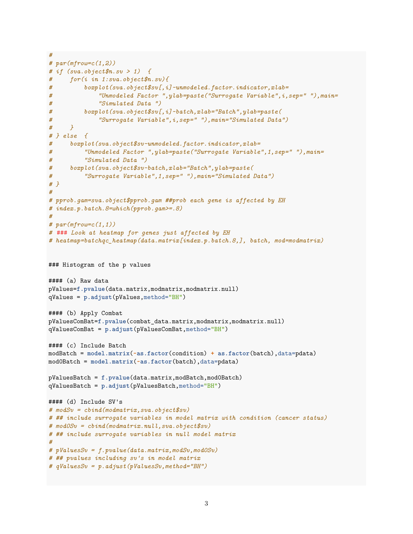```
#
# par(mfrow=c(1,2))
# if (sva.object$n.sv > 1) {
# for(i in 1:sva.object$n.sv){
# boxplot(sva.object$sv[,i]~unmodeled.factor.indicator,xlab=
# "Unmodeled Factor ",ylab=paste("Surrogate Variable",i,sep=" "),main=
# "Simulated Data ")
# boxplot(sva.object$sv[,i]~batch,xlab="Batch",ylab=paste(
# "Surrogate Variable",i,sep=" "),main="Simulated Data")
# }
# } else {
# boxplot(sva.object$sv~unmodeled.factor.indicator,xlab=
# "Unmodeled Factor ",ylab=paste("Surrogate Variable",1,sep=" "),main=
# "Simulated Data ")
# boxplot(sva.object$sv~batch,xlab="Batch",ylab=paste(
# "Surrogate Variable",1,sep=" "),main="Simulated Data")
# }
#
# pprob.gam=sva.object$pprob.gam ##prob each gene is affected by EH
# index.p.batch.8=which(pprob.gam>=.8)
#
# par(mfrow=c(1,1))
# ### Look at heatmap for genes just affected by EH
# heatmap=batchqc_heatmap(data.matrix[index.p.batch.8,], batch, mod=modmatrix)
### Histogram of the p values
#### (a) Raw data
pValues=f.pvalue(data.matrix,modmatrix,modmatrix.null)
qValues = p.adjust(pValues,method="BH")
#### (b) Apply Combat
pValuesComBat=f.pvalue(combat_data.matrix,modmatrix,modmatrix.null)
qValuesComBat = p.adjust(pValuesComBat,method="BH")
#### (c) Include Batch
modBatch = model.matrix(~as.factor(condition) + as.factor(batch),data=pdata)
mod0Batch = model.matrix(~as.factor(batch),data=pdata)
pValuesBatch = f.pvalue(data.matrix,modBatch,mod0Batch)
qValuesBatch = p.adjust(pValuesBatch,method="BH")
#### (d) Include SV's
# modSv = cbind(modmatrix,sva.object$sv)
# ## include surrogate variables in model matrix with condition (cancer status)
# mod0Sv = cbind(modmatrix.null,sva.object$sv)
# ## include surrogate variables in null model matrix
#
# pValuesSv = f.pvalue(data.matrix,modSv,mod0Sv)
# ## pvalues including sv's in model matrix
# qValuesSv = p.adjust(pValuesSv,method="BH")
```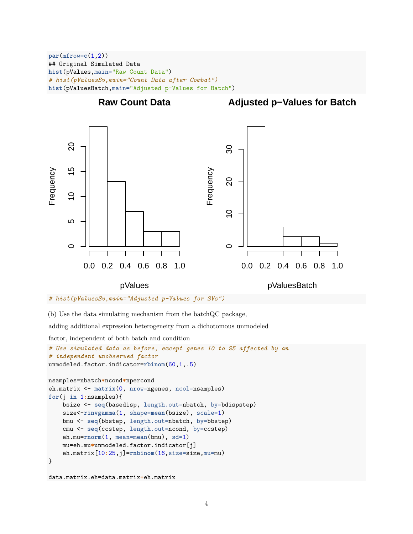**par**(mfrow=**c**(1,2)) ## Original Simulated Data **hist**(pValues,main="Raw Count Data") *# hist(pValuesSv,main="Count Data after Combat")* **hist**(pValuesBatch,main="Adjusted p-Values for Batch")



```
# hist(pValuesSv,main="Adjusted p-Values for SVs")
```
(b) Use the data simulating mechanism from the batchQC package,

adding additional expression heterogeneity from a dichotomous unmodeled

factor, independent of both batch and condition

```
# Use simulated data as before, except genes 10 to 25 affected by an
# independent unobserved factor
unmodeled.factor.indicator=rbinom(60,1,.5)
nsamples=nbatch*ncond*npercond
eh.matrix <- matrix(0, nrow=ngenes, ncol=nsamples)
for(j in 1:nsamples){
   bsize <- seq(basedisp, length.out=nbatch, by=bdispstep)
    size<-rinvgamma(1, shape=mean(bsize), scale=1)
   bmu <- seq(bbstep, length.out=nbatch, by=bbstep)
    cmu <- seq(ccstep, length.out=ncond, by=ccstep)
   eh.mu=rnorm(1, mean=mean(bmu), sd=1)
   mu=eh.mu*unmodeled.factor.indicator[j]
    eh.matrix[10:25,j]=rnbinom(16,size=size,mu=mu)
}
```

```
data.matrix.eh=data.matrix+eh.matrix
```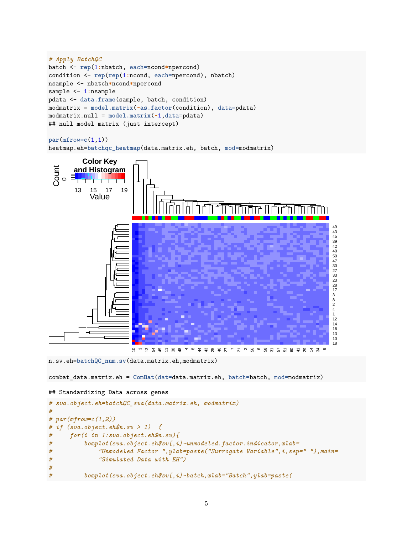```
# Apply BatchQC
batch <- rep(1:nbatch, each=ncond*npercond)
condition <- rep(rep(1:ncond, each=npercond), nbatch)
nsample <- nbatch*ncond*npercond
sample <- 1:nsample
pdata <- data.frame(sample, batch, condition)
modmatrix = model.matrix(~as.factor(condition), data=pdata)
modmatrix.null = model.matrix(~1,data=pdata)
## null model matrix (just intercept)
```

```
par(mfrow=c(1,1))
heatmap.eh=batchqc_heatmap(data.matrix.eh, batch, mod=modmatrix)
```


n.sv.eh=**batchQC\_num.sv**(data.matrix.eh,modmatrix)

combat\_data.matrix.eh = **ComBat**(dat=data.matrix.eh, batch=batch, mod=modmatrix)

```
## Standardizing Data across genes
```

```
# sva.object.eh=batchQC_sva(data.matrix.eh, modmatrix)
#
# par(mfrow=c(1,2))
# if (sva.object.eh$n.sv > 1) {
# for(i in 1:sva.object.eh$n.sv){
# boxplot(sva.object.eh$sv[,i]~unmodeled.factor.indicator,xlab=
# "Unmodeled Factor ",ylab=paste("Surrogate Variable",i,sep=" "),main=
# "Simulated Data with EH")
#
# boxplot(sva.object.eh$sv[,i]~batch,xlab="Batch",ylab=paste(
```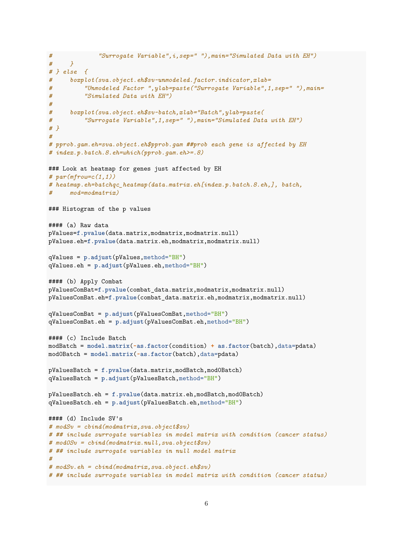```
# "Surrogate Variable",i,sep=" "),main="Simulated Data with EH")
# }
# } else {
# boxplot(sva.object.eh$sv~unmodeled.factor.indicator,xlab=
# "Unmodeled Factor ",ylab=paste("Surrogate Variable",1,sep=" "),main=
# "Simulated Data with EH")
#
# boxplot(sva.object.eh$sv~batch,xlab="Batch",ylab=paste(
# "Surrogate Variable",1,sep=" "),main="Simulated Data with EH")
# }
#
# pprob.gam.eh=sva.object.eh$pprob.gam ##prob each gene is affected by EH
# index.p.batch.8.eh=which(pprob.gam.eh>=.8)
### Look at heatmap for genes just affected by EH
# par(mfrow=c(1,1))
# heatmap.eh=batchqc_heatmap(data.matrix.eh[index.p.batch.8.eh,], batch,
# mod=modmatrix)
### Histogram of the p values
#### (a) Raw data
pValues=f.pvalue(data.matrix,modmatrix,modmatrix.null)
pValues.eh=f.pvalue(data.matrix.eh,modmatrix,modmatrix.null)
qValues = p.adjust(pValues,method="BH")
qValues.eh = p.adjust(pValues.eh,method="BH")
#### (b) Apply Combat
pValuesComBat=f.pvalue(combat_data.matrix,modmatrix,modmatrix.null)
pValuesComBat.eh=f.pvalue(combat_data.matrix.eh,modmatrix,modmatrix.null)
qValuesComBat = p.adjust(pValuesComBat,method="BH")
qValuesComBat.eh = p.adjust(pValuesComBat.eh,method="BH")
#### (c) Include Batch
modBatch = model.matrix(~as.factor(condition) + as.factor(batch),data=pdata)
mod0Batch = model.matrix(~as.factor(batch),data=pdata)
pValuesBatch = f.pvalue(data.matrix,modBatch,mod0Batch)
qValuesBatch = p.adjust(pValuesBatch,method="BH")
pValuesBatch.eh = f.pvalue(data.matrix.eh,modBatch,mod0Batch)
qValuesBatch.eh = p.adjust(pValuesBatch.eh,method="BH")
#### (d) Include SV's
# modSv = cbind(modmatrix,sva.object$sv)
# ## include surrogate variables in model matrix with condition (cancer status)
# mod0Sv = cbind(modmatrix.null,sva.object$sv)
# ## include surrogate variables in null model matrix
#
# modSv.eh = cbind(modmatrix,sva.object.eh$sv)
# ## include surrogate variables in model matrix with condition (cancer status)
```